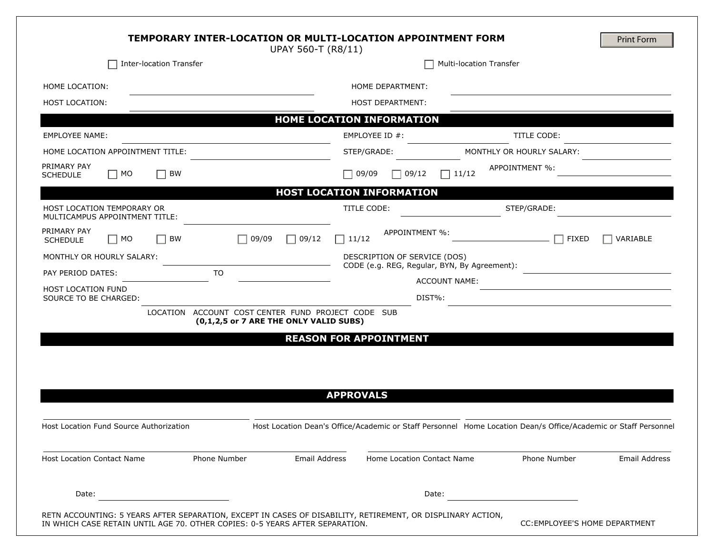|                                                                     | UPAY 560-T (R8/11)                                                                           | TEMPORARY INTER-LOCATION OR MULTI-LOCATION APPOINTMENT FORM                  |                                                                                                                 | <b>Print Form</b> |
|---------------------------------------------------------------------|----------------------------------------------------------------------------------------------|------------------------------------------------------------------------------|-----------------------------------------------------------------------------------------------------------------|-------------------|
| <b>Inter-location Transfer</b>                                      |                                                                                              | Multi-location Transfer                                                      |                                                                                                                 |                   |
| HOME LOCATION:                                                      |                                                                                              | HOME DEPARTMENT:                                                             |                                                                                                                 |                   |
| <b>HOST LOCATION:</b>                                               |                                                                                              | <b>HOST DEPARTMENT:</b>                                                      |                                                                                                                 |                   |
|                                                                     |                                                                                              | HOME LOCATION INFORMATION                                                    |                                                                                                                 |                   |
| <b>EMPLOYEE NAME:</b>                                               |                                                                                              | EMPLOYEE ID #:                                                               | <b>TITLE CODE:</b>                                                                                              |                   |
| HOME LOCATION APPOINTMENT TITLE:                                    |                                                                                              | STEP/GRADE:                                                                  | MONTHLY OR HOURLY SALARY:                                                                                       |                   |
| PRIMARY PAY<br>BW<br>$\Box$ MO<br><b>SCHEDULE</b>                   |                                                                                              | $\Box$ 09/09<br> 09/12                                                       | APPOINTMENT %:<br> 11/12                                                                                        |                   |
|                                                                     |                                                                                              | <b>HOST LOCATION INFORMATION</b>                                             |                                                                                                                 |                   |
| <b>HOST LOCATION TEMPORARY OR</b><br>MULTICAMPUS APPOINTMENT TITLE: |                                                                                              | TITLE CODE:                                                                  | STEP/GRADE:                                                                                                     |                   |
| PRIMARY PAY<br>BW<br>$\Box$ MO<br><b>SCHEDULE</b>                   | $\Box$ 09/09<br>$\Box$ 09/12                                                                 | APPOINTMENT %:<br>$\Box$ 11/12                                               | <b>FIXED</b>                                                                                                    | <b>VARIABLE</b>   |
| MONTHLY OR HOURLY SALARY:                                           |                                                                                              | DESCRIPTION OF SERVICE (DOS)<br>CODE (e.g. REG, Regular, BYN, By Agreement): |                                                                                                                 |                   |
| TO<br>PAY PERIOD DATES:                                             |                                                                                              | <b>ACCOUNT NAME:</b>                                                         |                                                                                                                 |                   |
| HOST LOCATION FUND<br>SOURCE TO BE CHARGED:                         |                                                                                              | DIST%:                                                                       |                                                                                                                 |                   |
|                                                                     | LOCATION ACCOUNT COST CENTER FUND PROJECT CODE SUB<br>(0,1,2,5 or 7 ARE THE ONLY VALID SUBS) | <b>REASON FOR APPOINTMENT</b>                                                |                                                                                                                 |                   |
|                                                                     |                                                                                              | <b>APPROVALS</b>                                                             |                                                                                                                 |                   |
| Host Location Fund Source Authorization                             |                                                                                              |                                                                              | Host Location Dean's Office/Academic or Staff Personnel Home Location Dean/s Office/Academic or Staff Personnel |                   |
| <b>Host Location Contact Name</b><br>Phone Number                   | Email Address                                                                                | Home Location Contact Name                                                   | Phone Number                                                                                                    | Email Address     |
| Date:                                                               |                                                                                              | Date:                                                                        |                                                                                                                 |                   |
|                                                                     |                                                                                              |                                                                              |                                                                                                                 |                   |